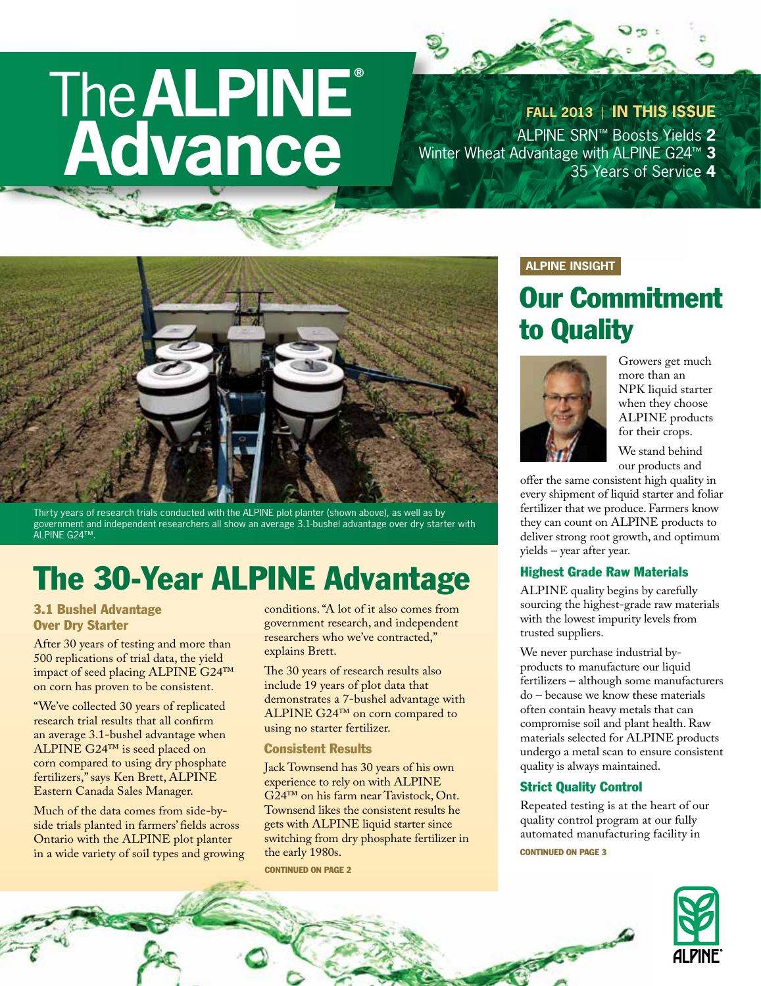# The**ALPINE® Advance**

**FALL 2013** | **IN THIS ISSUE** ALPINE SRN™ Boosts Yields **2** Winter Wheat Advantage with ALPINE G24™ **3** 35 Years of Service **4**



Thirty years of research trials conducted with the ALPINE plot planter (shown above), as well as by government and independent researchers all show an average 3.1-bushel advantage over dry starter with ALPINE G24™.

# The 30-Year ALPINE Advantage

#### 3.1 Bushel Advantage Over Dry Starter

After 30 years of testing and more than 500 replications of trial data, the yield impact of seed placing ALPINE G24™ on corn has proven to be consistent.

"We've collected 30 years of replicated research trial results that all confirm an average 3.1-bushel advantage when ALPINE G24™ is seed placed on corn compared to using dry phosphate fertilizers," says Ken Brett, ALPINE Eastern Canada Sales Manager.

Much of the data comes from side-byside trials planted in farmers' fields across Ontario with the ALPINE plot planter in a wide variety of soil types and growing conditions. "A lot of it also comes from government research, and independent researchers who we've contracted," explains Brett.

The 30 years of research results also include 19 years of plot data that demonstrates a 7-bushel advantage with ALPINE G24™ on corn compared to using no starter fertilizer.

#### Consistent Results

Jack Townsend has 30 years of his own experience to rely on with ALPINE G24™ on his farm near Tavistock, Ont. Townsend likes the consistent results he gets with ALPINE liquid starter since switching from dry phosphate fertilizer in the early 1980s.

CONTINUED ON PAGE 2

#### **ALPINE INSIGHT**

### Our Commitment to Quality



Growers get much more than an NPK liquid starter when they choose ALPINE products for their crops.

We stand behind our products and

offer the same consistent high quality in every shipment of liquid starter and foliar fertilizer that we produce. Farmers know they can count on ALPINE products to deliver strong root growth, and optimum yields – year after year.

#### Highest Grade Raw Materials

ALPINE quality begins by carefully sourcing the highest-grade raw materials with the lowest impurity levels from trusted suppliers.

We never purchase industrial byproducts to manufacture our liquid fertilizers – although some manufacturers do – because we know these materials often contain heavy metals that can compromise soil and plant health. Raw materials selected for ALPINE products undergo a metal scan to ensure consistent quality is always maintained.

#### Strict Quality Control

Repeated testing is at the heart of our quality control program at our fully automated manufacturing facility in



Carpenter Road

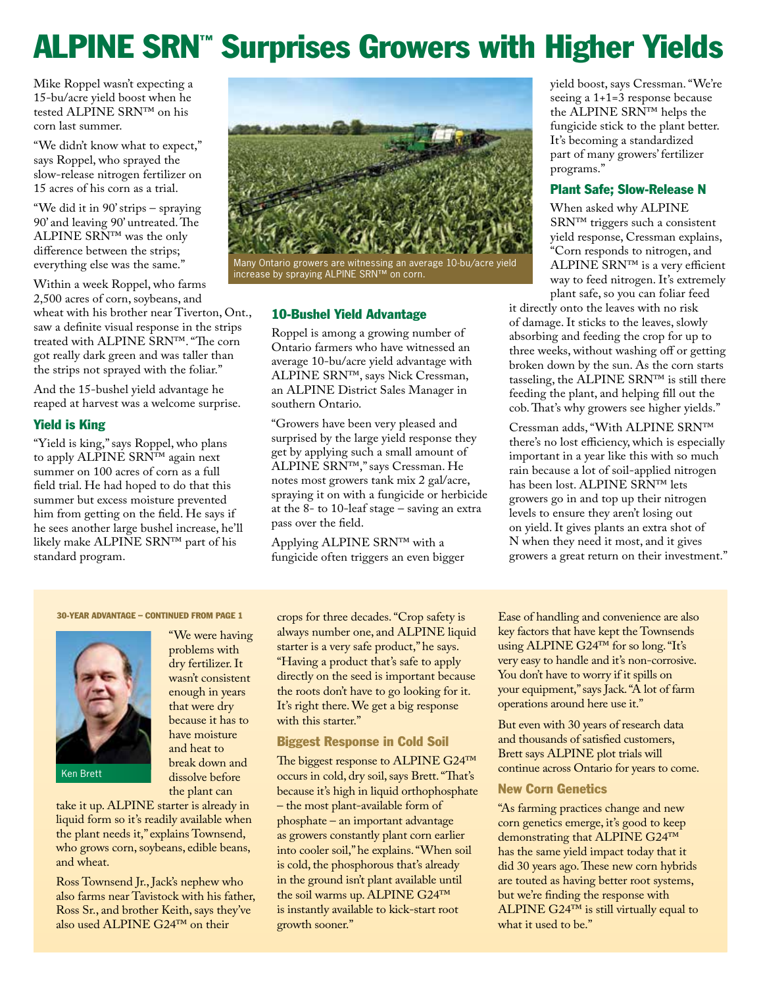# ALPINE SRN™ Surprises Growers with Higher Yields

Mike Roppel wasn't expecting a 15-bu/acre yield boost when he tested ALPINE SRN™ on his corn last summer.

"We didn't know what to expect," says Roppel, who sprayed the slow-release nitrogen fertilizer on 15 acres of his corn as a trial.

"We did it in 90' strips – spraying 90' and leaving 90' untreated. The <code>ALPINE</code> SRN™ was the only difference between the strips; everything else was the same."

Within a week Roppel, who farms 2,500 acres of corn, soybeans, and wheat with his brother near Tiverton, Ont., saw a definite visual response in the strips treated with ALPINE SRN™. "The corn got really dark green and was taller than the strips not sprayed with the foliar."

And the 15-bushel yield advantage he reaped at harvest was a welcome surprise.

#### Yield is King

"Yield is king," says Roppel, who plans to apply ALPINE SRN™ again next summer on 100 acres of corn as a full field trial. He had hoped to do that this summer but excess moisture prevented him from getting on the field. He says if he sees another large bushel increase, he'll likely make ALPINE SRN™ part of his standard program.



Many Ontario growers are witnessing an average 10-bu/acre yield increase by spraying ALPINE SRN™ on corn.

#### 10-Bushel Yield Advantage

Roppel is among a growing number of Ontario farmers who have witnessed an average 10-bu/acre yield advantage with ALPINE SRN™, says Nick Cressman, an ALPINE District Sales Manager in southern Ontario.

"Growers have been very pleased and surprised by the large yield response they get by applying such a small amount of ALPINE SRN™," says Cressman. He notes most growers tank mix 2 gal/acre, spraying it on with a fungicide or herbicide at the 8- to 10-leaf stage – saving an extra pass over the field.

Applying ALPINE SRN™ with a fungicide often triggers an even bigger yield boost, says Cressman. "We're seeing a 1+1=3 response because the ALPINE SRN™ helps the fungicide stick to the plant better. It's becoming a standardized part of many growers' fertilizer programs."

#### Plant Safe; Slow-Release N

When asked why ALPINE SRN™ triggers such a consistent yield response, Cressman explains, "Corn responds to nitrogen, and ALPINE SRN™ is a very efficient way to feed nitrogen. It's extremely plant safe, so you can foliar feed

it directly onto the leaves with no risk of damage. It sticks to the leaves, slowly absorbing and feeding the crop for up to three weeks, without washing off or getting broken down by the sun. As the corn starts tasseling, the ALPINE SRN™ is still there feeding the plant, and helping fill out the cob. That's why growers see higher yields."

Cressman adds, "With ALPINE SRN™ there's no lost efficiency, which is especially important in a year like this with so much rain because a lot of soil-applied nitrogen has been lost. ALPINE SRN™ lets growers go in and top up their nitrogen levels to ensure they aren't losing out on yield. It gives plants an extra shot of N when they need it most, and it gives growers a great return on their investment."

#### 30-YEAR ADVANTAGE – CONTINUED FROM PAGE 1



Ken Brett

"We were having problems with dry fertilizer. It wasn't consistent enough in years that were dry because it has to have moisture and heat to break down and dissolve before the plant can

take it up. ALPINE starter is already in liquid form so it's readily available when the plant needs it," explains Townsend, who grows corn, soybeans, edible beans, and wheat.

Ross Townsend Jr., Jack's nephew who also farms near Tavistock with his father, Ross Sr., and brother Keith, says they've also used ALPINE G24™ on their

crops for three decades. "Crop safety is always number one, and ALPINE liquid starter is a very safe product," he says. "Having a product that's safe to apply directly on the seed is important because the roots don't have to go looking for it. It's right there. We get a big response with this starter."

#### Biggest Response in Cold Soil

The biggest response to ALPINE G24™ occurs in cold, dry soil, says Brett. "That's because it's high in liquid orthophosphate – the most plant-available form of phosphate – an important advantage as growers constantly plant corn earlier into cooler soil," he explains. "When soil is cold, the phosphorous that's already in the ground isn't plant available until the soil warms up. ALPINE G24™ is instantly available to kick-start root growth sooner."

Ease of handling and convenience are also key factors that have kept the Townsends using ALPINE G24™ for so long. "It's very easy to handle and it's non-corrosive. You don't have to worry if it spills on your equipment," says Jack. "A lot of farm operations around here use it."

But even with 30 years of research data and thousands of satisfied customers, Brett says ALPINE plot trials will continue across Ontario for years to come.

#### New Corn Genetics

"As farming practices change and new corn genetics emerge, it's good to keep demonstrating that ALPINE G24™ has the same yield impact today that it did 30 years ago. These new corn hybrids are touted as having better root systems, but we're finding the response with ALPINE G24™ is still virtually equal to what it used to be."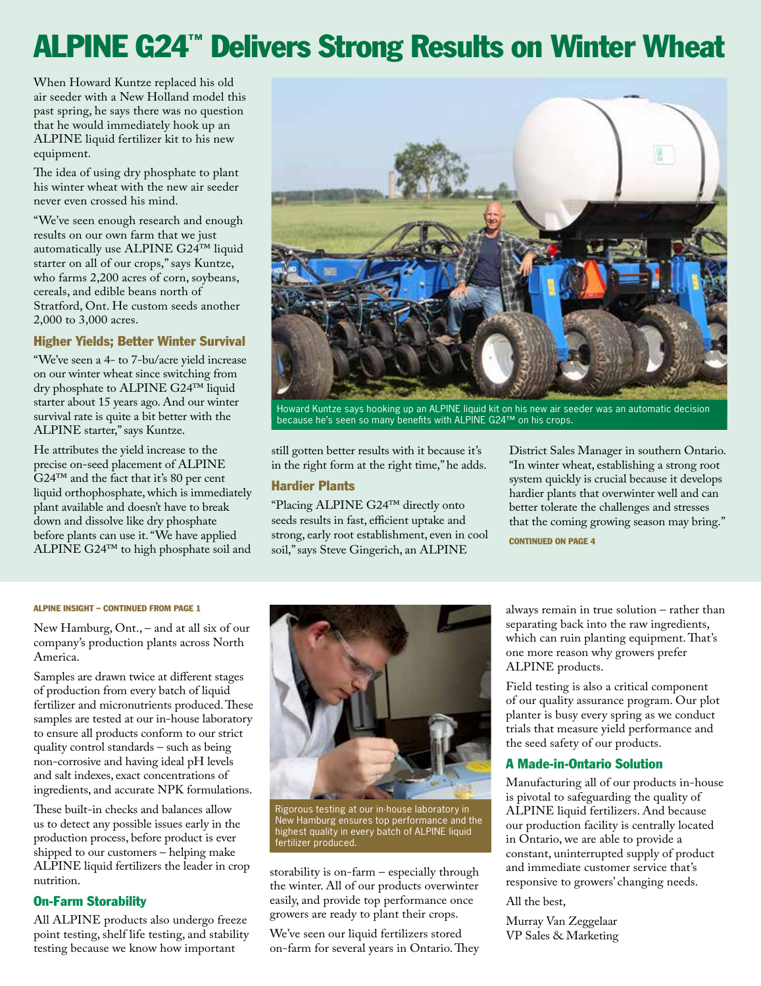### ALPINE G24™ Delivers Strong Results on Winter Wheat

When Howard Kuntze replaced his old air seeder with a New Holland model this past spring, he says there was no question that he would immediately hook up an ALPINE liquid fertilizer kit to his new equipment.

The idea of using dry phosphate to plant his winter wheat with the new air seeder never even crossed his mind.

"We've seen enough research and enough results on our own farm that we just automatically use ALPINE G24™ liquid starter on all of our crops," says Kuntze, who farms 2,200 acres of corn, soybeans, cereals, and edible beans north of Stratford, Ont. He custom seeds another 2,000 to 3,000 acres.

#### Higher Yields; Better Winter Survival

"We've seen a 4- to 7-bu/acre yield increase on our winter wheat since switching from dry phosphate to ALPINE G24™ liquid starter about 15 years ago. And our winter survival rate is quite a bit better with the ALPINE starter," says Kuntze.

He attributes the yield increase to the precise on-seed placement of ALPINE G24™ and the fact that it's 80 per cent liquid orthophosphate, which is immediately plant available and doesn't have to break down and dissolve like dry phosphate before plants can use it. "We have applied ALPINE G24™ to high phosphate soil and



Howard Kuntze says hooking up an ALPINE liquid kit on his new air seeder was an automatic decision because he's seen so many benefits with ALPINE G24™ on his crops.

still gotten better results with it because it's in the right form at the right time," he adds.

#### Hardier Plants

"Placing ALPINE G24™ directly onto seeds results in fast, efficient uptake and strong, early root establishment, even in cool soil," says Steve Gingerich, an ALPINE

District Sales Manager in southern Ontario. "In winter wheat, establishing a strong root system quickly is crucial because it develops hardier plants that overwinter well and can better tolerate the challenges and stresses that the coming growing season may bring."

CONTINUED ON PAGE 4

#### ALPINE INSIGHT – CONTINUED FROM PAGE 1

New Hamburg, Ont., – and at all six of our company's production plants across North America.

Samples are drawn twice at different stages of production from every batch of liquid fertilizer and micronutrients produced. These samples are tested at our in-house laboratory to ensure all products conform to our strict quality control standards – such as being non-corrosive and having ideal pH levels and salt indexes, exact concentrations of ingredients, and accurate NPK formulations.

These built-in checks and balances allow us to detect any possible issues early in the production process, before product is ever shipped to our customers – helping make ALPINE liquid fertilizers the leader in crop nutrition.

#### On-Farm Storability

All ALPINE products also undergo freeze point testing, shelf life testing, and stability testing because we know how important



Rigorous testing at our in-house laboratory in New Hamburg ensures top performance and the highest quality in every batch of ALPINE liquid fertilizer produced.

storability is on-farm – especially through the winter. All of our products overwinter easily, and provide top performance once growers are ready to plant their crops.

We've seen our liquid fertilizers stored on-farm for several years in Ontario. They

always remain in true solution – rather than separating back into the raw ingredients, which can ruin planting equipment. That's one more reason why growers prefer ALPINE products.

Field testing is also a critical component of our quality assurance program. Our plot planter is busy every spring as we conduct trials that measure yield performance and the seed safety of our products.

#### A Made-in-Ontario Solution

Manufacturing all of our products in-house is pivotal to safeguarding the quality of ALPINE liquid fertilizers. And because our production facility is centrally located in Ontario, we are able to provide a constant, uninterrupted supply of product and immediate customer service that's responsive to growers' changing needs.

All the best,

Murray Van Zeggelaar VP Sales & Marketing